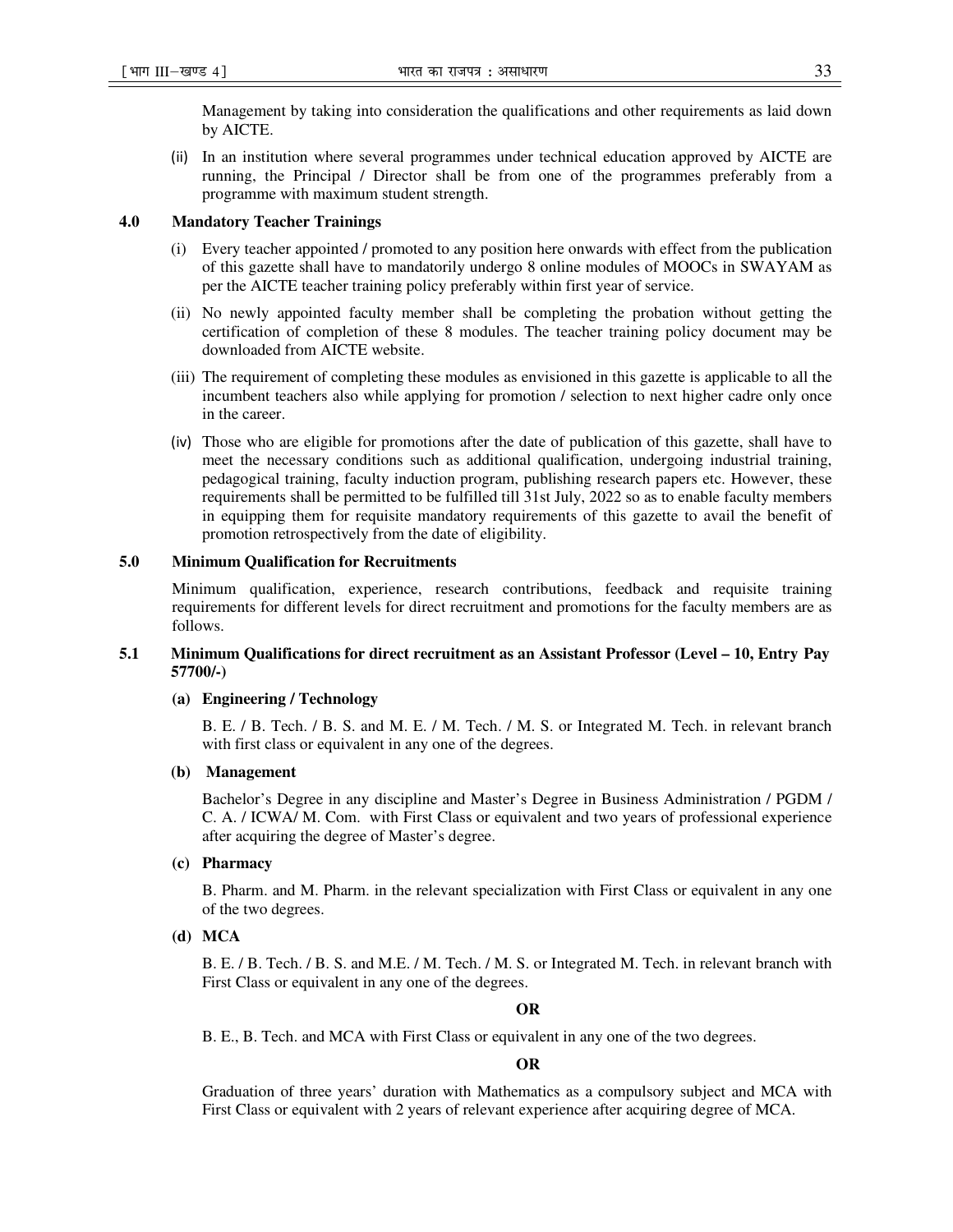Management by taking into consideration the qualifications and other requirements as laid down by AICTE.

(ii) In an institution where several programmes under technical education approved by AICTE are running, the Principal / Director shall be from one of the programmes preferably from a programme with maximum student strength.

### **4.0 Mandatory Teacher Trainings**

- (i) Every teacher appointed / promoted to any position here onwards with effect from the publication of this gazette shall have to mandatorily undergo 8 online modules of MOOCs in SWAYAM as per the AICTE teacher training policy preferably within first year of service.
- (ii) No newly appointed faculty member shall be completing the probation without getting the certification of completion of these 8 modules. The teacher training policy document may be downloaded from AICTE website.
- (iii) The requirement of completing these modules as envisioned in this gazette is applicable to all the incumbent teachers also while applying for promotion / selection to next higher cadre only once in the career.
- (iv) Those who are eligible for promotions after the date of publication of this gazette, shall have to meet the necessary conditions such as additional qualification, undergoing industrial training, pedagogical training, faculty induction program, publishing research papers etc. However, these requirements shall be permitted to be fulfilled till 31st July, 2022 so as to enable faculty members in equipping them for requisite mandatory requirements of this gazette to avail the benefit of promotion retrospectively from the date of eligibility.

#### **5.0 Minimum Qualification for Recruitments**

Minimum qualification, experience, research contributions, feedback and requisite training requirements for different levels for direct recruitment and promotions for the faculty members are as follows.

### **5.1 Minimum Qualifications for direct recruitment as an Assistant Professor (Level – 10, Entry Pay 57700/-)**

### **(a) Engineering / Technology**

B. E. / B. Tech. / B. S. and M. E. / M. Tech. / M. S. or Integrated M. Tech. in relevant branch with first class or equivalent in any one of the degrees.

### **(b) Management**

Bachelor's Degree in any discipline and Master's Degree in Business Administration / PGDM / C. A. / ICWA/ M. Com. with First Class or equivalent and two years of professional experience after acquiring the degree of Master's degree.

### **(c) Pharmacy**

B. Pharm. and M. Pharm. in the relevant specialization with First Class or equivalent in any one of the two degrees.

**(d) MCA**

B. E. / B. Tech. / B. S. and M.E. / M. Tech. / M. S. or Integrated M. Tech. in relevant branch with First Class or equivalent in any one of the degrees.

#### **OR**

B. E., B. Tech. and MCA with First Class or equivalent in any one of the two degrees.

**OR** 

Graduation of three years' duration with Mathematics as a compulsory subject and MCA with First Class or equivalent with 2 years of relevant experience after acquiring degree of MCA.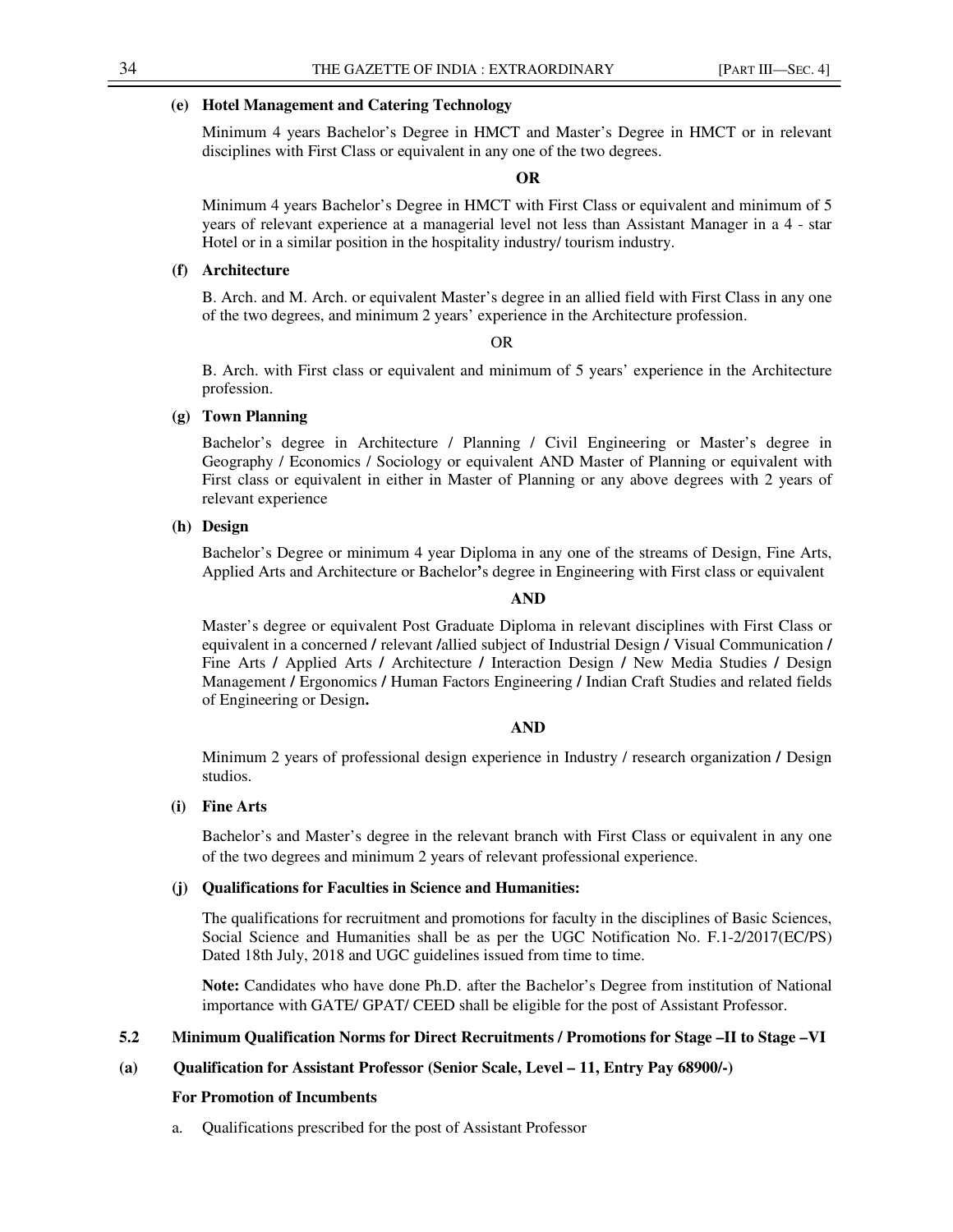### **(e) Hotel Management and Catering Technology**

Minimum 4 years Bachelor's Degree in HMCT and Master's Degree in HMCT or in relevant disciplines with First Class or equivalent in any one of the two degrees.

### **OR**

Minimum 4 years Bachelor's Degree in HMCT with First Class or equivalent and minimum of 5 years of relevant experience at a managerial level not less than Assistant Manager in a 4 - star Hotel or in a similar position in the hospitality industry/ tourism industry.

# **(f) Architecture**

B. Arch. and M. Arch. or equivalent Master's degree in an allied field with First Class in any one of the two degrees, and minimum 2 years' experience in the Architecture profession.

#### OR

B. Arch. with First class or equivalent and minimum of 5 years' experience in the Architecture profession.

### **(g) Town Planning**

Bachelor's degree in Architecture / Planning / Civil Engineering or Master's degree in Geography / Economics / Sociology or equivalent AND Master of Planning or equivalent with First class or equivalent in either in Master of Planning or any above degrees with 2 years of relevant experience

### **(h) Design**

Bachelor's Degree or minimum 4 year Diploma in any one of the streams of Design, Fine Arts, Applied Arts and Architecture or Bachelor**'**s degree in Engineering with First class or equivalent

#### **AND**

Master's degree or equivalent Post Graduate Diploma in relevant disciplines with First Class or equivalent in a concerned **/** relevant **/**allied subject of Industrial Design **/** Visual Communication **/**  Fine Arts **/** Applied Arts **/** Architecture **/** Interaction Design **/** New Media Studies **/** Design Management **/** Ergonomics **/** Human Factors Engineering **/** Indian Craft Studies and related fields of Engineering or Design**.**

### **AND**

Minimum 2 years of professional design experience in Industry / research organization **/** Design studios.

# **(i) Fine Arts**

Bachelor's and Master's degree in the relevant branch with First Class or equivalent in any one of the two degrees and minimum 2 years of relevant professional experience.

### **(j) Qualifications for Faculties in Science and Humanities:**

The qualifications for recruitment and promotions for faculty in the disciplines of Basic Sciences, Social Science and Humanities shall be as per the UGC Notification No. F.1-2/2017(EC/PS) Dated 18th July, 2018 and UGC guidelines issued from time to time.

**Note:** Candidates who have done Ph.D. after the Bachelor's Degree from institution of National importance with GATE/ GPAT/ CEED shall be eligible for the post of Assistant Professor.

### **5.2 Minimum Qualification Norms for Direct Recruitments / Promotions for Stage –II to Stage –VI**

### **(a) Qualification for Assistant Professor (Senior Scale, Level – 11, Entry Pay 68900/-)**

#### **For Promotion of Incumbents**

a. Qualifications prescribed for the post of Assistant Professor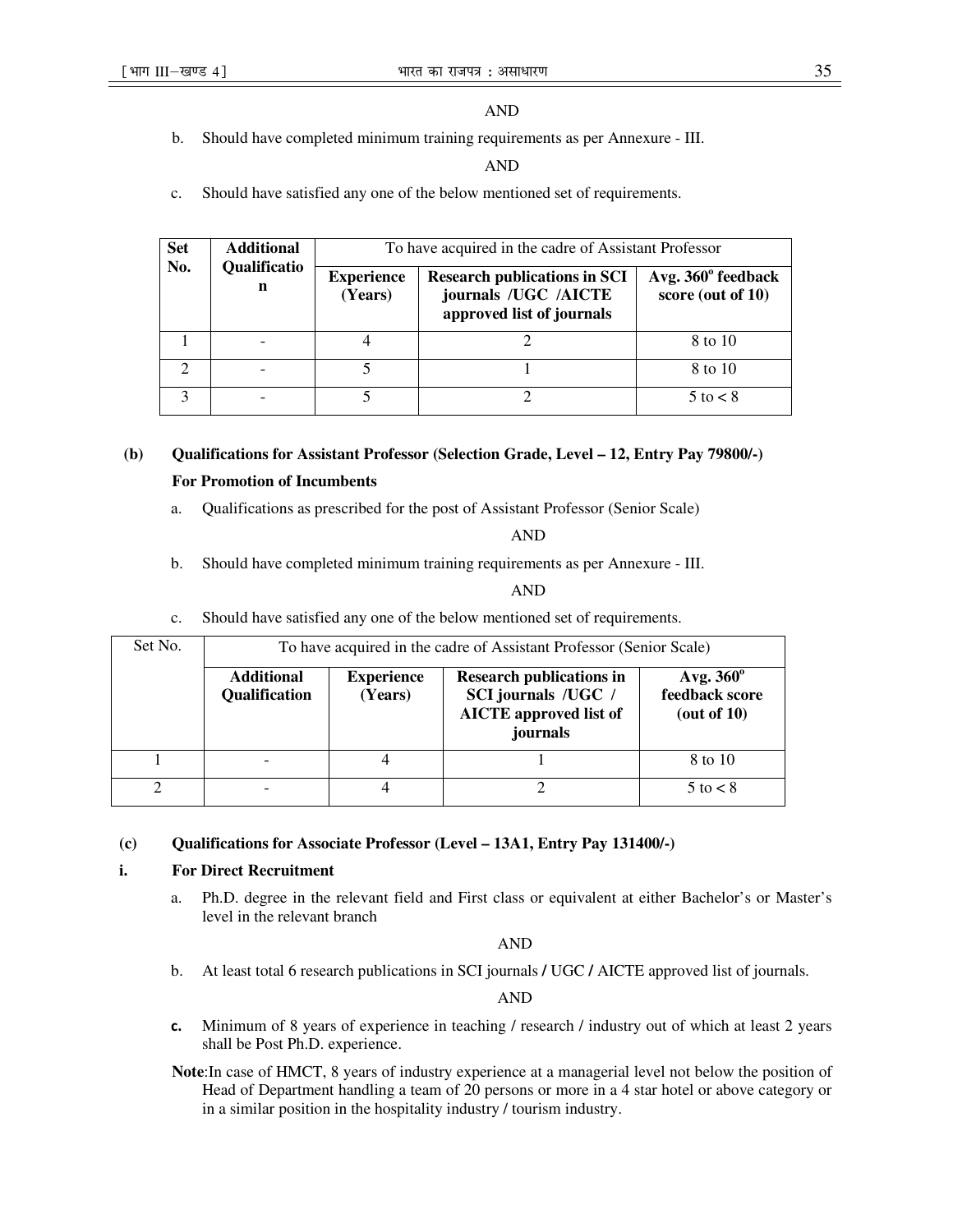# AND

b. Should have completed minimum training requirements as per Annexure - III.

### AND

c. Should have satisfied any one of the below mentioned set of requirements.

| <b>Set</b> | <b>Additional</b><br>Qualificatio<br>n | To have acquired in the cadre of Assistant Professor |                                                                                          |                                         |
|------------|----------------------------------------|------------------------------------------------------|------------------------------------------------------------------------------------------|-----------------------------------------|
| No.        |                                        | <b>Experience</b><br>(Years)                         | <b>Research publications in SCI</b><br>journals /UGC /AICTE<br>approved list of journals | Avg. 360° feedback<br>score (out of 10) |
|            |                                        |                                                      |                                                                                          | 8 to 10                                 |
| ∍          |                                        |                                                      |                                                                                          | 8 to 10                                 |
| 3          |                                        |                                                      |                                                                                          | $5$ to $\lt 8$                          |

# **(b) Qualifications for Assistant Professor (Selection Grade, Level – 12, Entry Pay 79800/-) For Promotion of Incumbents**

a. Qualifications as prescribed for the post of Assistant Professor (Senior Scale)

AND

b. Should have completed minimum training requirements as per Annexure - III.

### AND

c. Should have satisfied any one of the below mentioned set of requirements.

| Set No.<br>To have acquired in the cadre of Assistant Professor (Senior Scale) |                                           |                              |                                                                                                     |                                                      |
|--------------------------------------------------------------------------------|-------------------------------------------|------------------------------|-----------------------------------------------------------------------------------------------------|------------------------------------------------------|
|                                                                                | <b>Additional</b><br><b>Qualification</b> | <b>Experience</b><br>(Years) | <b>Research publications in</b><br>SCI journals /UGC /<br><b>AICTE</b> approved list of<br>journals | Avg. $360^\circ$<br>feedback score<br>(out of $10$ ) |
|                                                                                |                                           |                              |                                                                                                     | 8 to 10                                              |
|                                                                                |                                           |                              |                                                                                                     | $5$ to $\lt 8$                                       |

# **(c) Qualifications for Associate Professor (Level – 13A1, Entry Pay 131400/-)**

# **i. For Direct Recruitment**

a. Ph.D. degree in the relevant field and First class or equivalent at either Bachelor's or Master's level in the relevant branch

AND

b. At least total 6 research publications in SCI journals **/** UGC **/** AICTE approved list of journals.

AND

- **c.** Minimum of 8 years of experience in teaching / research / industry out of which at least 2 years shall be Post Ph.D. experience.
- **Note**:In case of HMCT, 8 years of industry experience at a managerial level not below the position of Head of Department handling a team of 20 persons or more in a 4 star hotel or above category or in a similar position in the hospitality industry / tourism industry.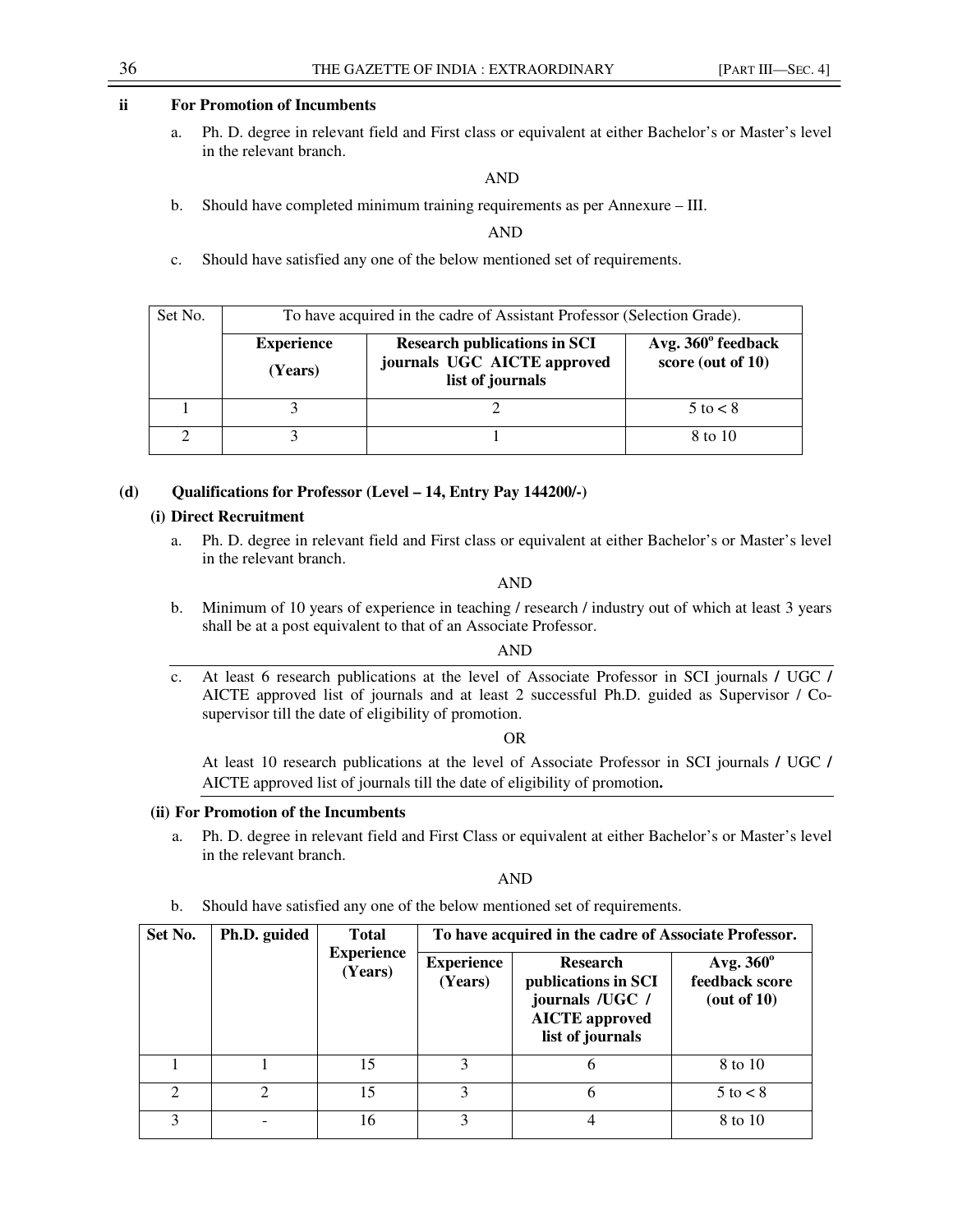# **ii For Promotion of Incumbents**

a. Ph. D. degree in relevant field and First class or equivalent at either Bachelor's or Master's level in the relevant branch.

AND

b. Should have completed minimum training requirements as per Annexure – III.

AND

c. Should have satisfied any one of the below mentioned set of requirements.

| Set No. | To have acquired in the cadre of Assistant Professor (Selection Grade). |                                                                                        |                                         |
|---------|-------------------------------------------------------------------------|----------------------------------------------------------------------------------------|-----------------------------------------|
|         | <b>Experience</b><br>(Years)                                            | <b>Research publications in SCI</b><br>journals UGC AICTE approved<br>list of journals | Avg. 360° feedback<br>score (out of 10) |
|         |                                                                         |                                                                                        | $5$ to $\lt 8$                          |
|         |                                                                         |                                                                                        | 8 to 10                                 |

# **(d) Qualifications for Professor (Level – 14, Entry Pay 144200/-)**

### **(i) Direct Recruitment**

a. Ph. D. degree in relevant field and First class or equivalent at either Bachelor's or Master's level in the relevant branch.

AND

b. Minimum of 10 years of experience in teaching / research / industry out of which at least 3 years shall be at a post equivalent to that of an Associate Professor.

# AND

c. At least 6 research publications at the level of Associate Professor in SCI journals **/** UGC **/**  AICTE approved list of journals and at least 2 successful Ph.D. guided as Supervisor / Cosupervisor till the date of eligibility of promotion.

OR

At least 10 research publications at the level of Associate Professor in SCI journals **/** UGC **/**  AICTE approved list of journals till the date of eligibility of promotion**.**

### **(ii) For Promotion of the Incumbents**

a. Ph. D. degree in relevant field and First Class or equivalent at either Bachelor's or Master's level in the relevant branch.

AND

b. Should have satisfied any one of the below mentioned set of requirements.

| Set No.                     | Ph.D. guided<br><b>Total</b> |                              | To have acquired in the cadre of Associate Professor. |                                                                                                        |                                                   |
|-----------------------------|------------------------------|------------------------------|-------------------------------------------------------|--------------------------------------------------------------------------------------------------------|---------------------------------------------------|
|                             |                              | <b>Experience</b><br>(Years) | <b>Experience</b><br>(Years)                          | <b>Research</b><br>publications in SCI<br>journals /UGC /<br><b>AICTE</b> approved<br>list of journals | Avg. $360^\circ$<br>feedback score<br>(out of 10) |
|                             |                              | 15                           | 3                                                     | 6                                                                                                      | 8 to 10                                           |
| $\mathcal{D}_{\mathcal{L}}$ | $\mathcal{D}_{\mathcal{L}}$  | 15                           | 3                                                     | 6                                                                                                      | $5$ to $\lt 8$                                    |
| 3                           |                              | 16                           | 3                                                     | 4                                                                                                      | 8 to 10                                           |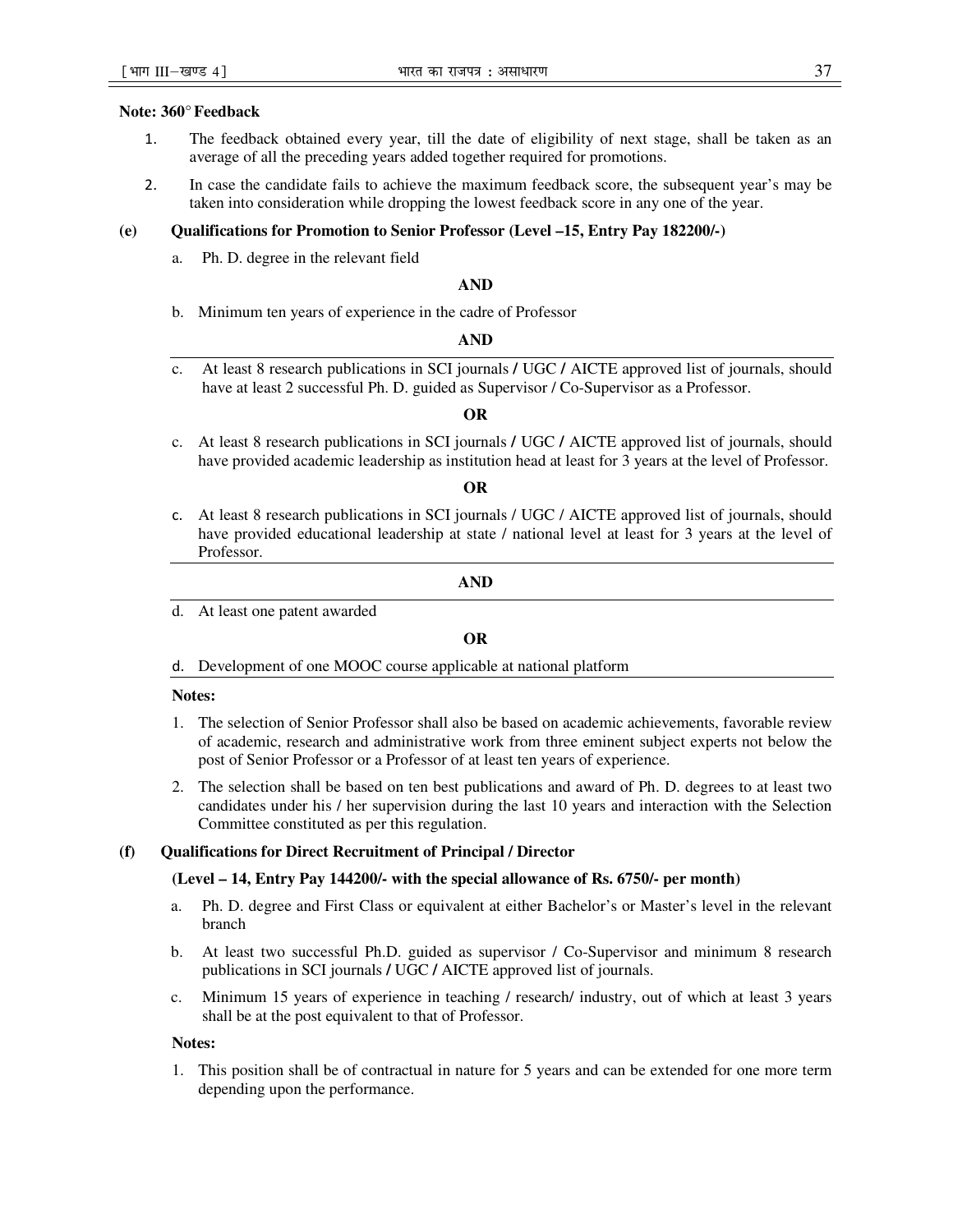### **Note: 360°Feedback**

- 1. The feedback obtained every year, till the date of eligibility of next stage, shall be taken as an average of all the preceding years added together required for promotions.
- 2. In case the candidate fails to achieve the maximum feedback score, the subsequent year's may be taken into consideration while dropping the lowest feedback score in any one of the year.

### **(e) Qualifications for Promotion to Senior Professor (Level –15, Entry Pay 182200/-)**

a. Ph. D. degree in the relevant field

#### **AND**

b. Minimum ten years of experience in the cadre of Professor

#### **AND**

c. At least 8 research publications in SCI journals **/** UGC **/** AICTE approved list of journals, should have at least 2 successful Ph. D. guided as Supervisor / Co-Supervisor as a Professor.

#### **OR**

c. At least 8 research publications in SCI journals **/** UGC **/** AICTE approved list of journals, should have provided academic leadership as institution head at least for 3 years at the level of Professor.

#### **OR**

c. At least 8 research publications in SCI journals / UGC / AICTE approved list of journals, should have provided educational leadership at state / national level at least for 3 years at the level of Professor.

#### **AND**

d. At least one patent awarded

### **OR**

d. Development of one MOOC course applicable at national platform

#### **Notes:**

- 1. The selection of Senior Professor shall also be based on academic achievements, favorable review of academic, research and administrative work from three eminent subject experts not below the post of Senior Professor or a Professor of at least ten years of experience.
- 2. The selection shall be based on ten best publications and award of Ph. D. degrees to at least two candidates under his / her supervision during the last 10 years and interaction with the Selection Committee constituted as per this regulation.

### **(f) Qualifications for Direct Recruitment of Principal / Director**

#### **(Level – 14, Entry Pay 144200/- with the special allowance of Rs. 6750/- per month)**

- a. Ph. D. degree and First Class or equivalent at either Bachelor's or Master's level in the relevant branch
- b. At least two successful Ph.D. guided as supervisor / Co-Supervisor and minimum 8 research publications in SCI journals **/** UGC **/** AICTE approved list of journals.
- c. Minimum 15 years of experience in teaching / research/ industry, out of which at least 3 years shall be at the post equivalent to that of Professor.

#### **Notes:**

1. This position shall be of contractual in nature for 5 years and can be extended for one more term depending upon the performance.